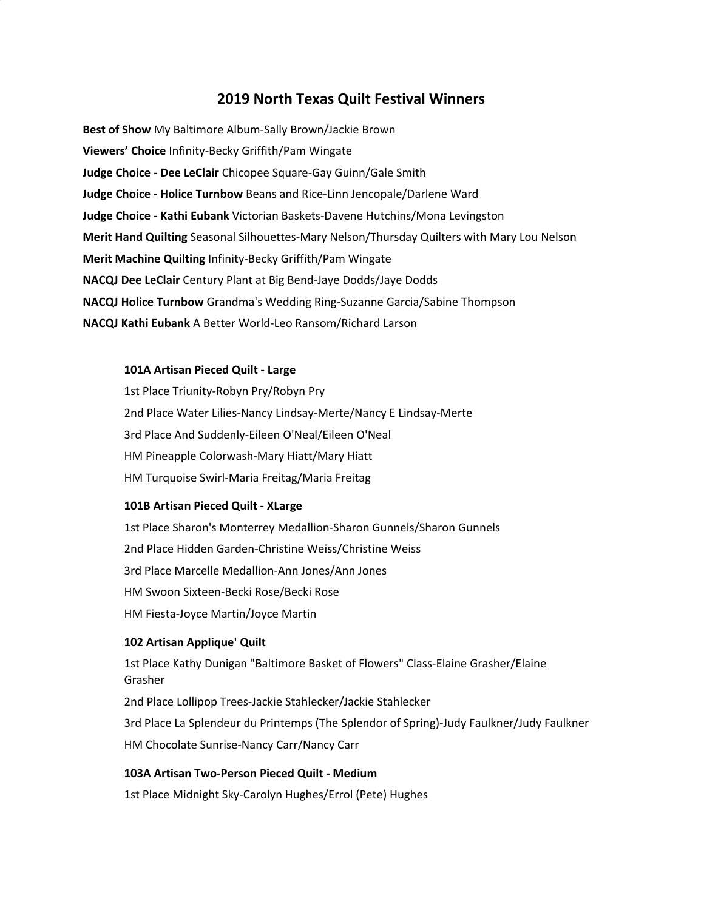## **2019 North Texas Quilt Festival Winners**

**Best of Show** My Baltimore Album-Sally Brown/Jackie Brown **Viewers' Choice** Infinity-Becky Griffith/Pam Wingate **Judge Choice - Dee LeClair** Chicopee Square-Gay Guinn/Gale Smith **Judge Choice - Holice Turnbow** Beans and Rice-Linn Jencopale/Darlene Ward **Judge Choice - Kathi Eubank** Victorian Baskets-Davene Hutchins/Mona Levingston **Merit Hand Quilting** Seasonal Silhouettes-Mary Nelson/Thursday Quilters with Mary Lou Nelson **Merit Machine Quilting** Infinity-Becky Griffith/Pam Wingate **NACQJ Dee LeClair** Century Plant at Big Bend-Jaye Dodds/Jaye Dodds **NACQJ Holice Turnbow** Grandma's Wedding Ring-Suzanne Garcia/Sabine Thompson **NACQJ Kathi Eubank** A Better World-Leo Ransom/Richard Larson

## **101A Artisan Pieced Quilt - Large**

1st Place Triunity-Robyn Pry/Robyn Pry 2nd Place Water Lilies-Nancy Lindsay-Merte/Nancy E Lindsay-Merte 3rd Place And Suddenly-Eileen O'Neal/Eileen O'Neal HM Pineapple Colorwash-Mary Hiatt/Mary Hiatt HM Turquoise Swirl-Maria Freitag/Maria Freitag

## **101B Artisan Pieced Quilt - XLarge**

1st Place Sharon's Monterrey Medallion-Sharon Gunnels/Sharon Gunnels 2nd Place Hidden Garden-Christine Weiss/Christine Weiss 3rd Place Marcelle Medallion-Ann Jones/Ann Jones HM Swoon Sixteen-Becki Rose/Becki Rose HM Fiesta-Joyce Martin/Joyce Martin

## **102 Artisan Applique' Quilt**

1st Place Kathy Dunigan "Baltimore Basket of Flowers" Class-Elaine Grasher/Elaine Grasher 2nd Place Lollipop Trees-Jackie Stahlecker/Jackie Stahlecker 3rd Place La Splendeur du Printemps (The Splendor of Spring)-Judy Faulkner/Judy Faulkner HM Chocolate Sunrise-Nancy Carr/Nancy Carr

#### **103A Artisan Two-Person Pieced Quilt - Medium**

1st Place Midnight Sky-Carolyn Hughes/Errol (Pete) Hughes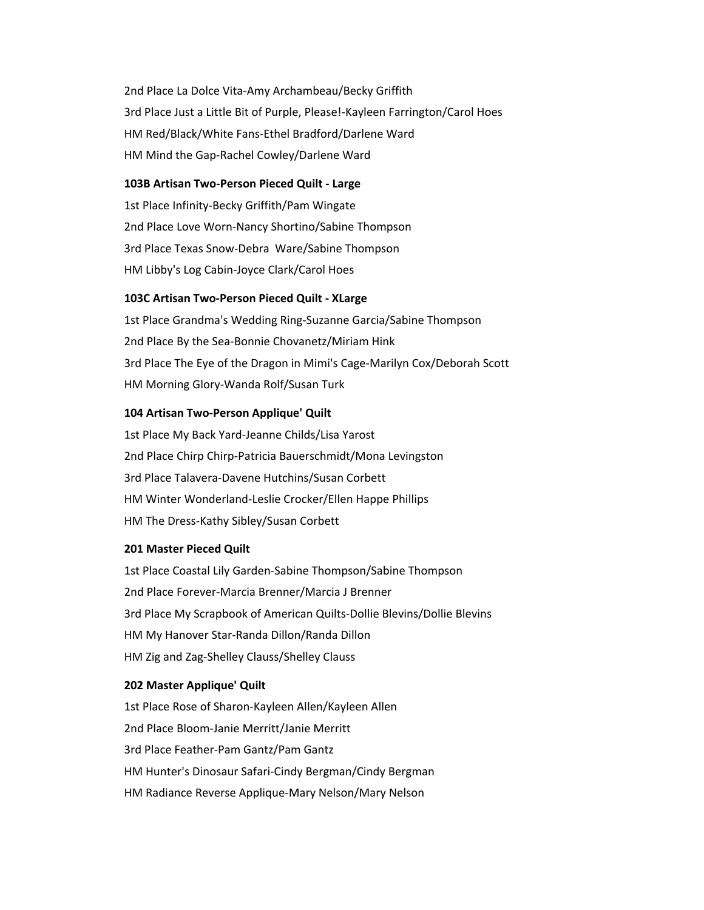2nd Place La Dolce Vita-Amy Archambeau/Becky Griffith 3rd Place Just a Little Bit of Purple, Please!-Kayleen Farrington/Carol Hoes HM Red/Black/White Fans-Ethel Bradford/Darlene Ward HM Mind the Gap-Rachel Cowley/Darlene Ward

#### **103B Artisan Two-Person Pieced Quilt - Large**

1st Place Infinity-Becky Griffith/Pam Wingate 2nd Place Love Worn-Nancy Shortino/Sabine Thompson 3rd Place Texas Snow-Debra Ware/Sabine Thompson HM Libby's Log Cabin-Joyce Clark/Carol Hoes

### **103C Artisan Two-Person Pieced Quilt - XLarge**

1st Place Grandma's Wedding Ring-Suzanne Garcia/Sabine Thompson 2nd Place By the Sea-Bonnie Chovanetz/Miriam Hink 3rd Place The Eye of the Dragon in Mimi's Cage-Marilyn Cox/Deborah Scott HM Morning Glory-Wanda Rolf/Susan Turk

#### **104 Artisan Two-Person Applique' Quilt**

1st Place My Back Yard-Jeanne Childs/Lisa Yarost 2nd Place Chirp Chirp-Patricia Bauerschmidt/Mona Levingston 3rd Place Talavera-Davene Hutchins/Susan Corbett HM Winter Wonderland-Leslie Crocker/Ellen Happe Phillips HM The Dress-Kathy Sibley/Susan Corbett

#### **201 Master Pieced Quilt**

1st Place Coastal Lily Garden-Sabine Thompson/Sabine Thompson 2nd Place Forever-Marcia Brenner/Marcia J Brenner 3rd Place My Scrapbook of American Quilts-Dollie Blevins/Dollie Blevins HM My Hanover Star-Randa Dillon/Randa Dillon HM Zig and Zag-Shelley Clauss/Shelley Clauss

#### **202 Master Applique' Quilt**

1st Place Rose of Sharon-Kayleen Allen/Kayleen Allen 2nd Place Bloom-Janie Merritt/Janie Merritt 3rd Place Feather-Pam Gantz/Pam Gantz HM Hunter's Dinosaur Safari-Cindy Bergman/Cindy Bergman HM Radiance Reverse Applique-Mary Nelson/Mary Nelson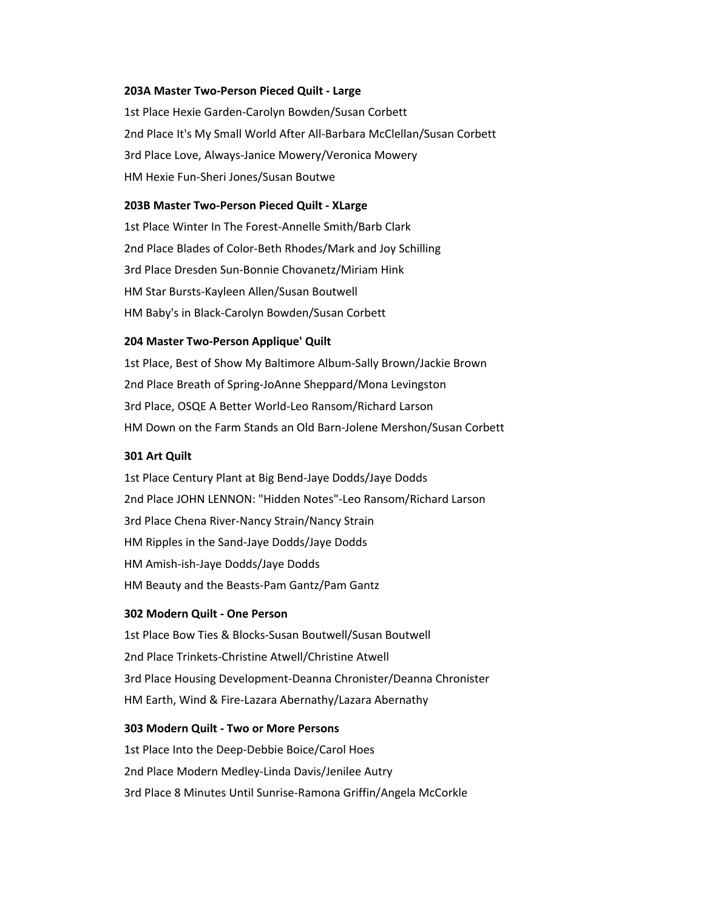#### **203A Master Two-Person Pieced Quilt - Large**

1st Place Hexie Garden-Carolyn Bowden/Susan Corbett 2nd Place It's My Small World After All-Barbara McClellan/Susan Corbett 3rd Place Love, Always-Janice Mowery/Veronica Mowery HM Hexie Fun-Sheri Jones/Susan Boutwe

#### **203B Master Two-Person Pieced Quilt - XLarge**

1st Place Winter In The Forest-Annelle Smith/Barb Clark 2nd Place Blades of Color-Beth Rhodes/Mark and Joy Schilling 3rd Place Dresden Sun-Bonnie Chovanetz/Miriam Hink HM Star Bursts-Kayleen Allen/Susan Boutwell HM Baby's in Black-Carolyn Bowden/Susan Corbett

#### **204 Master Two-Person Applique' Quilt**

1st Place, Best of Show My Baltimore Album-Sally Brown/Jackie Brown 2nd Place Breath of Spring-JoAnne Sheppard/Mona Levingston 3rd Place, OSQE A Better World-Leo Ransom/Richard Larson HM Down on the Farm Stands an Old Barn-Jolene Mershon/Susan Corbett

#### **301 Art Quilt**

1st Place Century Plant at Big Bend-Jaye Dodds/Jaye Dodds 2nd Place JOHN LENNON: "Hidden Notes"-Leo Ransom/Richard Larson 3rd Place Chena River-Nancy Strain/Nancy Strain HM Ripples in the Sand-Jaye Dodds/Jaye Dodds HM Amish-ish-Jaye Dodds/Jaye Dodds HM Beauty and the Beasts-Pam Gantz/Pam Gantz

#### **302 Modern Quilt - One Person**

1st Place Bow Ties & Blocks-Susan Boutwell/Susan Boutwell 2nd Place Trinkets-Christine Atwell/Christine Atwell 3rd Place Housing Development-Deanna Chronister/Deanna Chronister HM Earth, Wind & Fire-Lazara Abernathy/Lazara Abernathy

#### **303 Modern Quilt - Two or More Persons**

1st Place Into the Deep-Debbie Boice/Carol Hoes 2nd Place Modern Medley-Linda Davis/Jenilee Autry 3rd Place 8 Minutes Until Sunrise-Ramona Griffin/Angela McCorkle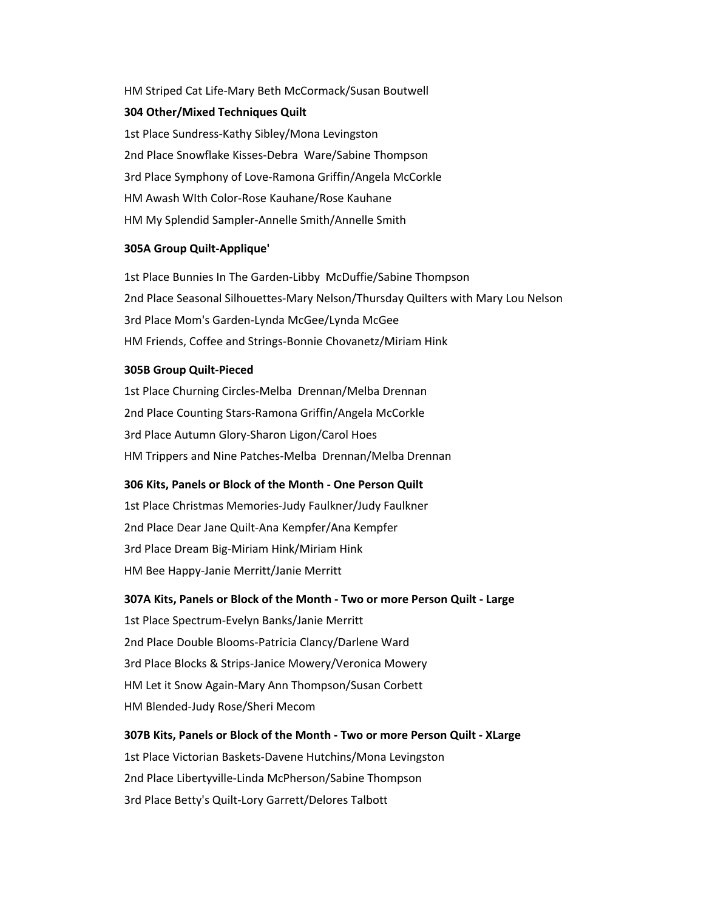# HM Striped Cat Life-Mary Beth McCormack/Susan Boutwell **304 Other/Mixed Techniques Quilt**

1st Place Sundress-Kathy Sibley/Mona Levingston 2nd Place Snowflake Kisses-Debra Ware/Sabine Thompson 3rd Place Symphony of Love-Ramona Griffin/Angela McCorkle HM Awash WIth Color-Rose Kauhane/Rose Kauhane HM My Splendid Sampler-Annelle Smith/Annelle Smith

## **305A Group Quilt-Applique'**

1st Place Bunnies In The Garden-Libby McDuffie/Sabine Thompson 2nd Place Seasonal Silhouettes-Mary Nelson/Thursday Quilters with Mary Lou Nelson 3rd Place Mom's Garden-Lynda McGee/Lynda McGee HM Friends, Coffee and Strings-Bonnie Chovanetz/Miriam Hink

## **305B Group Quilt-Pieced**

1st Place Churning Circles-Melba Drennan/Melba Drennan 2nd Place Counting Stars-Ramona Griffin/Angela McCorkle 3rd Place Autumn Glory-Sharon Ligon/Carol Hoes HM Trippers and Nine Patches-Melba Drennan/Melba Drennan

## **306 Kits, Panels or Block of the Month - One Person Quilt**

1st Place Christmas Memories-Judy Faulkner/Judy Faulkner 2nd Place Dear Jane Quilt-Ana Kempfer/Ana Kempfer 3rd Place Dream Big-Miriam Hink/Miriam Hink HM Bee Happy-Janie Merritt/Janie Merritt

#### **307A Kits, Panels or Block of the Month - Two or more Person Quilt - Large**

1st Place Spectrum-Evelyn Banks/Janie Merritt 2nd Place Double Blooms-Patricia Clancy/Darlene Ward 3rd Place Blocks & Strips-Janice Mowery/Veronica Mowery HM Let it Snow Again-Mary Ann Thompson/Susan Corbett HM Blended-Judy Rose/Sheri Mecom

## **307B Kits, Panels or Block of the Month - Two or more Person Quilt - XLarge** 1st Place Victorian Baskets-Davene Hutchins/Mona Levingston 2nd Place Libertyville-Linda McPherson/Sabine Thompson 3rd Place Betty's Quilt-Lory Garrett/Delores Talbott